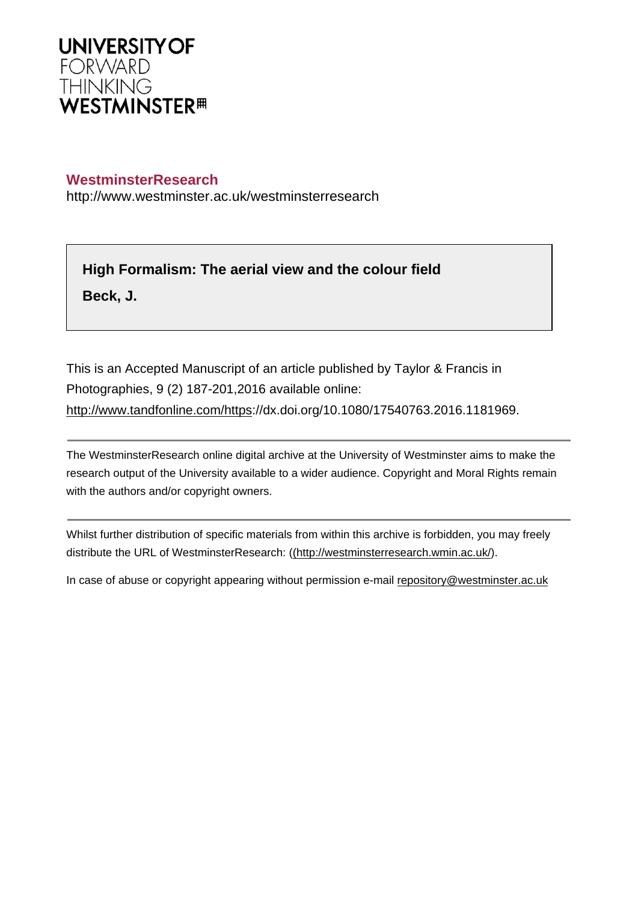

# **WestminsterResearch**

http://www.westminster.ac.uk/westminsterresearch

**High Formalism: The aerial view and the colour field Beck, J.**

This is an Accepted Manuscript of an article published by Taylor & Francis in Photographies, 9 (2) 187-201,2016 available online: <http://www.tandfonline.com/https>://dx.doi.org/10.1080/17540763.2016.1181969.

The WestminsterResearch online digital archive at the University of Westminster aims to make the research output of the University available to a wider audience. Copyright and Moral Rights remain with the authors and/or copyright owners.

Whilst further distribution of specific materials from within this archive is forbidden, you may freely distribute the URL of WestminsterResearch: [\(\(http://westminsterresearch.wmin.ac.uk/](http://westminsterresearch.wmin.ac.uk/)).

In case of abuse or copyright appearing without permission e-mail <repository@westminster.ac.uk>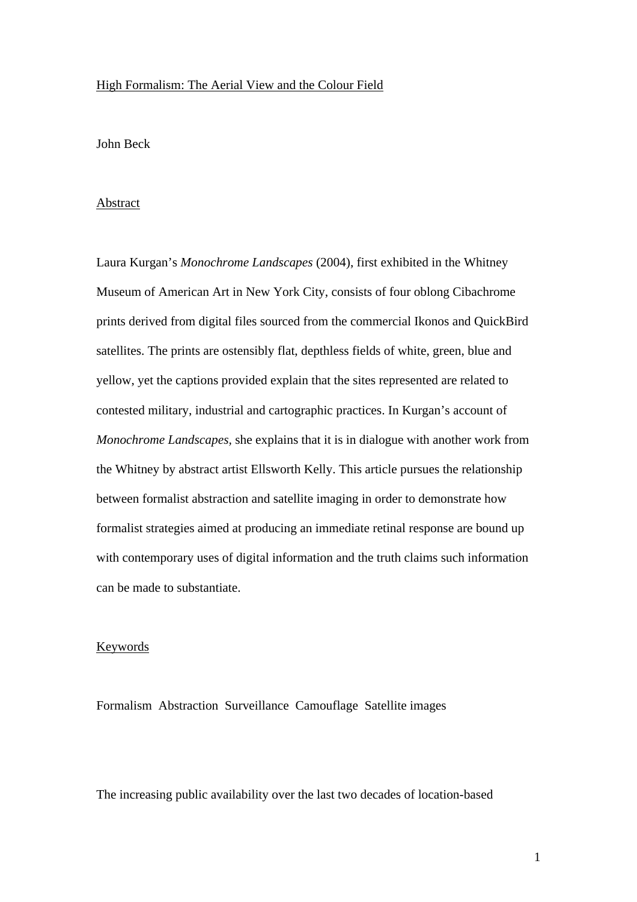#### High Formalism: The Aerial View and the Colour Field

#### John Beck

#### Abstract

Laura Kurgan's *Monochrome Landscapes* (2004), first exhibited in the Whitney Museum of American Art in New York City, consists of four oblong Cibachrome prints derived from digital files sourced from the commercial Ikonos and QuickBird satellites. The prints are ostensibly flat, depthless fields of white, green, blue and yellow, yet the captions provided explain that the sites represented are related to contested military, industrial and cartographic practices. In Kurgan's account of *Monochrome Landscapes,* she explains that it is in dialogue with another work from the Whitney by abstract artist Ellsworth Kelly. This article pursues the relationship between formalist abstraction and satellite imaging in order to demonstrate how formalist strategies aimed at producing an immediate retinal response are bound up with contemporary uses of digital information and the truth claims such information can be made to substantiate.

#### Keywords

Formalism Abstraction Surveillance Camouflage Satellite images

The increasing public availability over the last two decades of location-based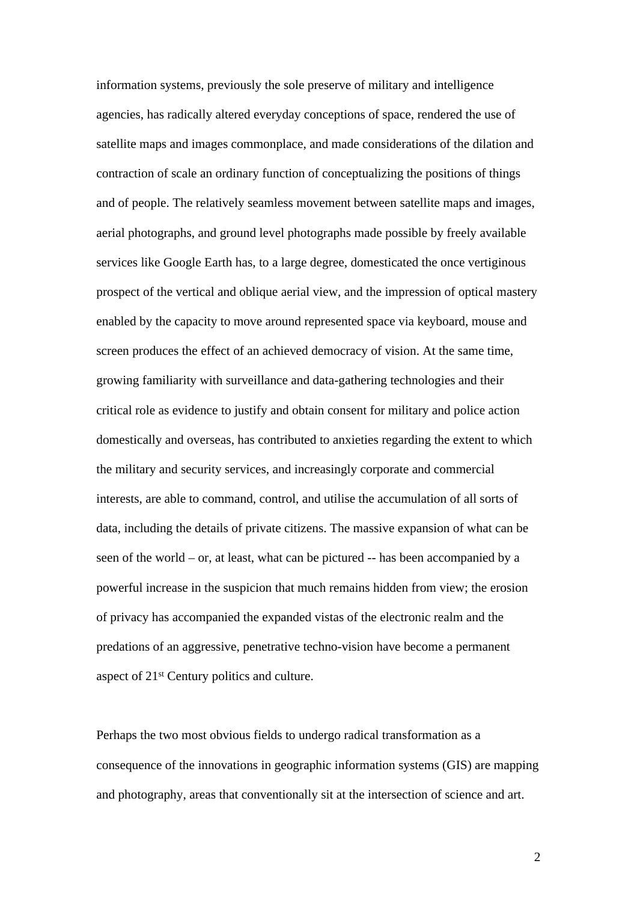information systems, previously the sole preserve of military and intelligence agencies, has radically altered everyday conceptions of space, rendered the use of satellite maps and images commonplace, and made considerations of the dilation and contraction of scale an ordinary function of conceptualizing the positions of things and of people. The relatively seamless movement between satellite maps and images, aerial photographs, and ground level photographs made possible by freely available services like Google Earth has, to a large degree, domesticated the once vertiginous prospect of the vertical and oblique aerial view, and the impression of optical mastery enabled by the capacity to move around represented space via keyboard, mouse and screen produces the effect of an achieved democracy of vision. At the same time, growing familiarity with surveillance and data-gathering technologies and their critical role as evidence to justify and obtain consent for military and police action domestically and overseas, has contributed to anxieties regarding the extent to which the military and security services, and increasingly corporate and commercial interests, are able to command, control, and utilise the accumulation of all sorts of data, including the details of private citizens. The massive expansion of what can be seen of the world – or, at least, what can be pictured -- has been accompanied by a powerful increase in the suspicion that much remains hidden from view; the erosion of privacy has accompanied the expanded vistas of the electronic realm and the predations of an aggressive, penetrative techno-vision have become a permanent aspect of 21st Century politics and culture.

Perhaps the two most obvious fields to undergo radical transformation as a consequence of the innovations in geographic information systems (GIS) are mapping and photography, areas that conventionally sit at the intersection of science and art.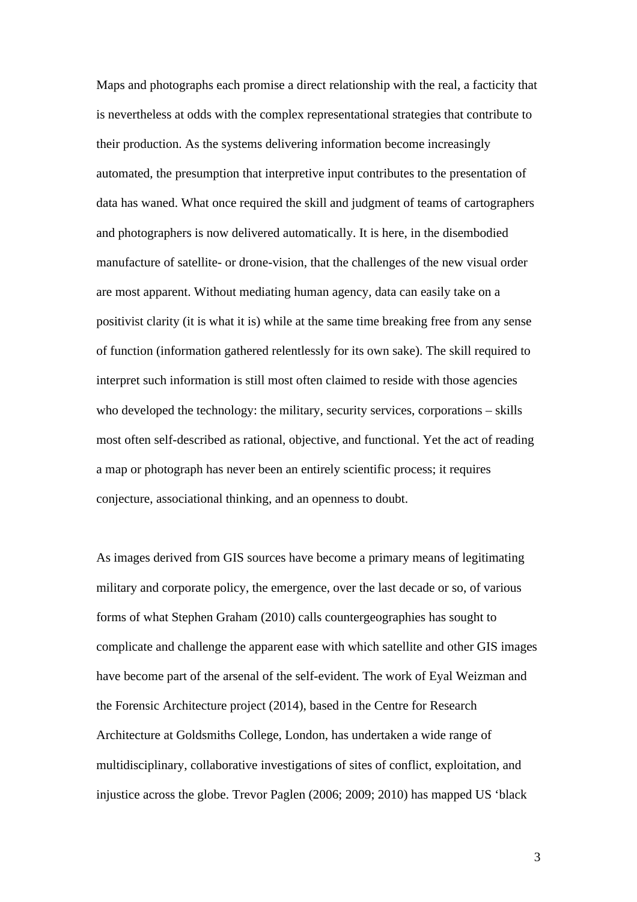Maps and photographs each promise a direct relationship with the real, a facticity that is nevertheless at odds with the complex representational strategies that contribute to their production. As the systems delivering information become increasingly automated, the presumption that interpretive input contributes to the presentation of data has waned. What once required the skill and judgment of teams of cartographers and photographers is now delivered automatically. It is here, in the disembodied manufacture of satellite- or drone-vision, that the challenges of the new visual order are most apparent. Without mediating human agency, data can easily take on a positivist clarity (it is what it is) while at the same time breaking free from any sense of function (information gathered relentlessly for its own sake). The skill required to interpret such information is still most often claimed to reside with those agencies who developed the technology: the military, security services, corporations – skills most often self-described as rational, objective, and functional. Yet the act of reading a map or photograph has never been an entirely scientific process; it requires conjecture, associational thinking, and an openness to doubt.

As images derived from GIS sources have become a primary means of legitimating military and corporate policy, the emergence, over the last decade or so, of various forms of what Stephen Graham (2010) calls countergeographies has sought to complicate and challenge the apparent ease with which satellite and other GIS images have become part of the arsenal of the self-evident. The work of Eyal Weizman and the Forensic Architecture project (2014), based in the Centre for Research Architecture at Goldsmiths College, London, has undertaken a wide range of multidisciplinary, collaborative investigations of sites of conflict, exploitation, and injustice across the globe. Trevor Paglen (2006; 2009; 2010) has mapped US 'black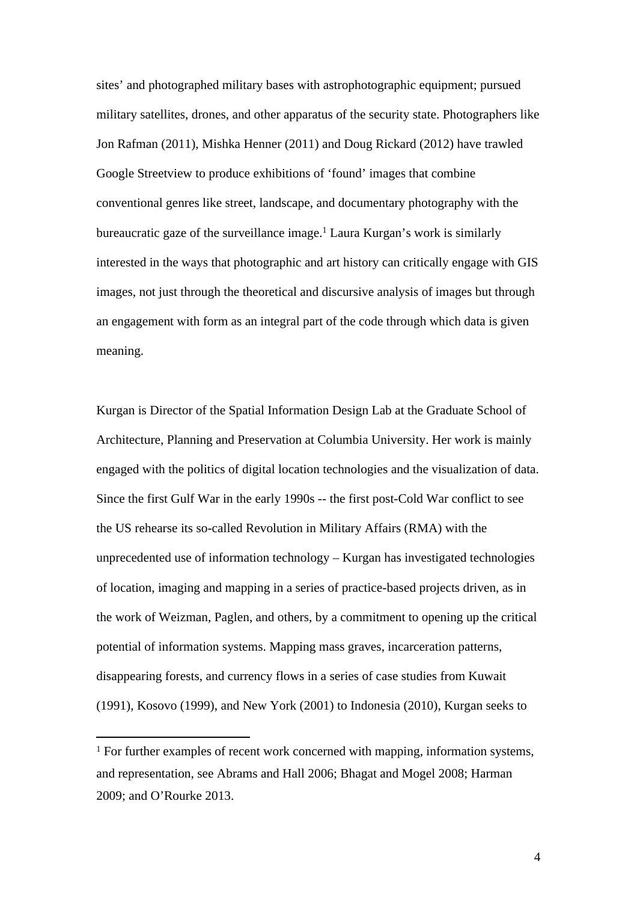sites' and photographed military bases with astrophotographic equipment; pursued military satellites, drones, and other apparatus of the security state. Photographers like Jon Rafman (2011), Mishka Henner (2011) and Doug Rickard (2012) have trawled Google Streetview to produce exhibitions of 'found' images that combine conventional genres like street, landscape, and documentary photography with the bureaucratic gaze of the surveillance image.<sup>1</sup> Laura Kurgan's work is similarly interested in the ways that photographic and art history can critically engage with GIS images, not just through the theoretical and discursive analysis of images but through an engagement with form as an integral part of the code through which data is given meaning.

Kurgan is Director of the Spatial Information Design Lab at the Graduate School of Architecture, Planning and Preservation at Columbia University. Her work is mainly engaged with the politics of digital location technologies and the visualization of data. Since the first Gulf War in the early 1990s -- the first post-Cold War conflict to see the US rehearse its so-called Revolution in Military Affairs (RMA) with the unprecedented use of information technology – Kurgan has investigated technologies of location, imaging and mapping in a series of practice-based projects driven, as in the work of Weizman, Paglen, and others, by a commitment to opening up the critical potential of information systems. Mapping mass graves, incarceration patterns, disappearing forests, and currency flows in a series of case studies from Kuwait (1991), Kosovo (1999), and New York (2001) to Indonesia (2010), Kurgan seeks to

<sup>&</sup>lt;sup>1</sup> For further examples of recent work concerned with mapping, information systems, and representation, see Abrams and Hall 2006; Bhagat and Mogel 2008; Harman 2009; and O'Rourke 2013.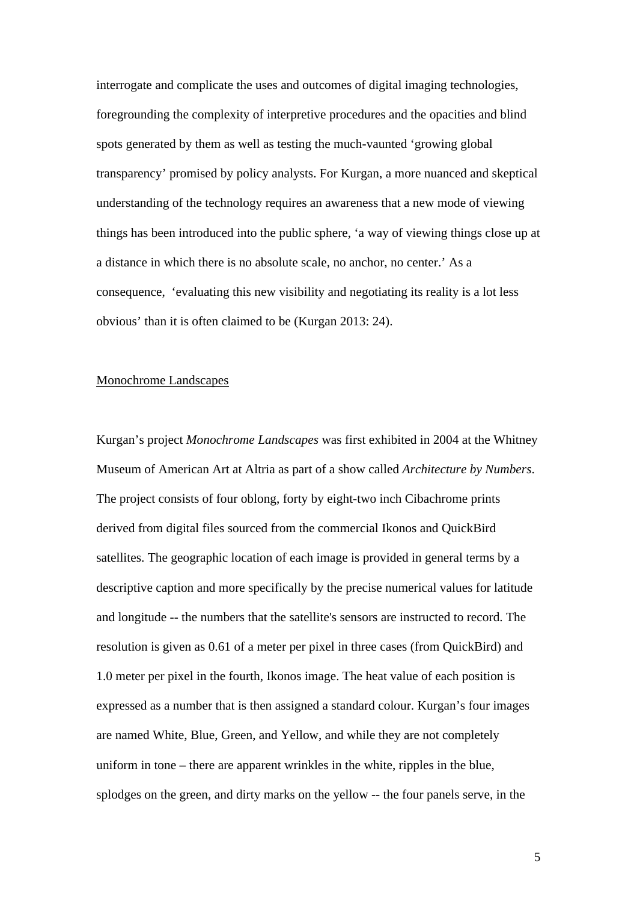interrogate and complicate the uses and outcomes of digital imaging technologies, foregrounding the complexity of interpretive procedures and the opacities and blind spots generated by them as well as testing the much-vaunted 'growing global transparency' promised by policy analysts. For Kurgan, a more nuanced and skeptical understanding of the technology requires an awareness that a new mode of viewing things has been introduced into the public sphere, 'a way of viewing things close up at a distance in which there is no absolute scale, no anchor, no center.' As a consequence, 'evaluating this new visibility and negotiating its reality is a lot less obvious' than it is often claimed to be (Kurgan 2013: 24).

# Monochrome Landscapes

Kurgan's project *Monochrome Landscapes* was first exhibited in 2004 at the Whitney Museum of American Art at Altria as part of a show called *Architecture by Numbers*. The project consists of four oblong, forty by eight-two inch Cibachrome prints derived from digital files sourced from the commercial Ikonos and QuickBird satellites. The geographic location of each image is provided in general terms by a descriptive caption and more specifically by the precise numerical values for latitude and longitude -- the numbers that the satellite's sensors are instructed to record. The resolution is given as 0.61 of a meter per pixel in three cases (from QuickBird) and 1.0 meter per pixel in the fourth, Ikonos image. The heat value of each position is expressed as a number that is then assigned a standard colour. Kurgan's four images are named White, Blue, Green, and Yellow, and while they are not completely uniform in tone – there are apparent wrinkles in the white, ripples in the blue, splodges on the green, and dirty marks on the yellow -- the four panels serve, in the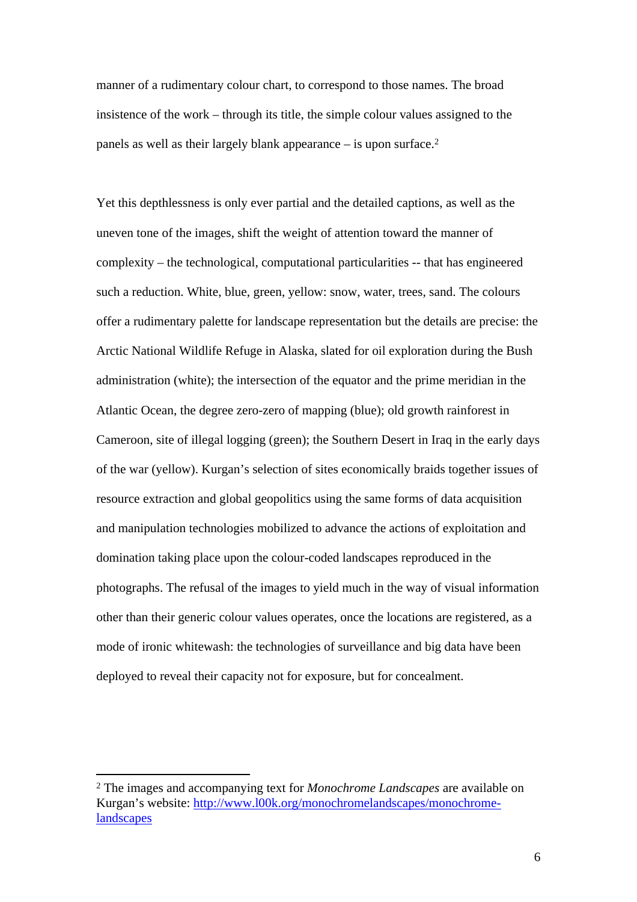manner of a rudimentary colour chart, to correspond to those names. The broad insistence of the work – through its title, the simple colour values assigned to the panels as well as their largely blank appearance – is upon surface.<sup>2</sup>

Yet this depthlessness is only ever partial and the detailed captions, as well as the uneven tone of the images, shift the weight of attention toward the manner of complexity – the technological, computational particularities -- that has engineered such a reduction. White, blue, green, yellow: snow, water, trees, sand. The colours offer a rudimentary palette for landscape representation but the details are precise: the Arctic National Wildlife Refuge in Alaska, slated for oil exploration during the Bush administration (white); the intersection of the equator and the prime meridian in the Atlantic Ocean, the degree zero-zero of mapping (blue); old growth rainforest in Cameroon, site of illegal logging (green); the Southern Desert in Iraq in the early days of the war (yellow). Kurgan's selection of sites economically braids together issues of resource extraction and global geopolitics using the same forms of data acquisition and manipulation technologies mobilized to advance the actions of exploitation and domination taking place upon the colour-coded landscapes reproduced in the photographs. The refusal of the images to yield much in the way of visual information other than their generic colour values operates, once the locations are registered, as a mode of ironic whitewash: the technologies of surveillance and big data have been deployed to reveal their capacity not for exposure, but for concealment.

<sup>2</sup> The images and accompanying text for *Monochrome Landscapes* are available on Kurgan's website: [http://www.l00k.org/monochromelandscapes/monochrome](http://www.l00k.org/monochromelandscapes/monochrome-landscapes)[landscapes](http://www.l00k.org/monochromelandscapes/monochrome-landscapes)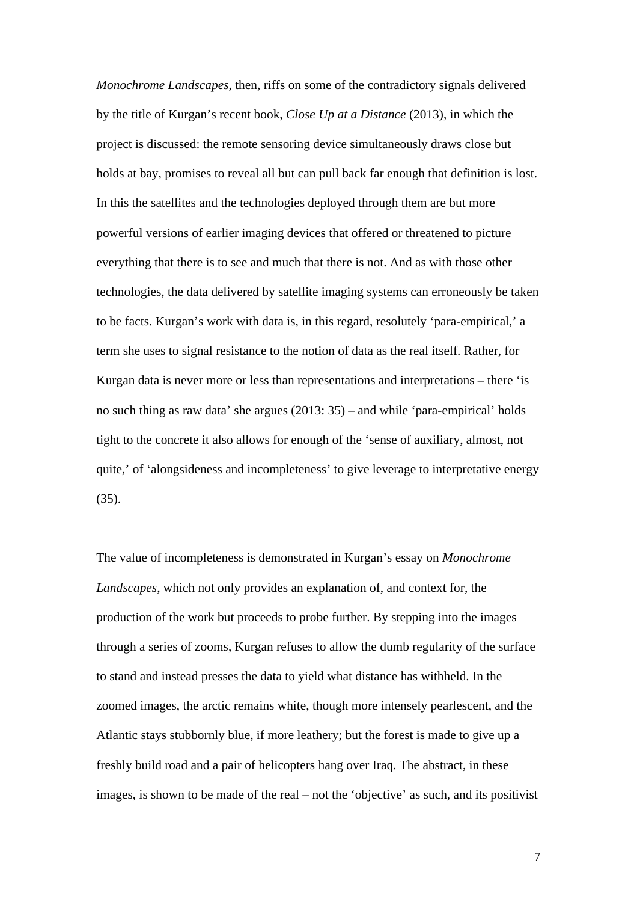*Monochrome Landscapes*, then, riffs on some of the contradictory signals delivered by the title of Kurgan's recent book, *Close Up at a Distance* (2013), in which the project is discussed: the remote sensoring device simultaneously draws close but holds at bay, promises to reveal all but can pull back far enough that definition is lost. In this the satellites and the technologies deployed through them are but more powerful versions of earlier imaging devices that offered or threatened to picture everything that there is to see and much that there is not. And as with those other technologies, the data delivered by satellite imaging systems can erroneously be taken to be facts. Kurgan's work with data is, in this regard, resolutely 'para-empirical,' a term she uses to signal resistance to the notion of data as the real itself. Rather, for Kurgan data is never more or less than representations and interpretations – there 'is no such thing as raw data' she argues (2013: 35) – and while 'para-empirical' holds tight to the concrete it also allows for enough of the 'sense of auxiliary, almost, not quite,' of 'alongsideness and incompleteness' to give leverage to interpretative energy (35).

The value of incompleteness is demonstrated in Kurgan's essay on *Monochrome Landscapes*, which not only provides an explanation of, and context for, the production of the work but proceeds to probe further. By stepping into the images through a series of zooms, Kurgan refuses to allow the dumb regularity of the surface to stand and instead presses the data to yield what distance has withheld. In the zoomed images, the arctic remains white, though more intensely pearlescent, and the Atlantic stays stubbornly blue, if more leathery; but the forest is made to give up a freshly build road and a pair of helicopters hang over Iraq. The abstract, in these images, is shown to be made of the real – not the 'objective' as such, and its positivist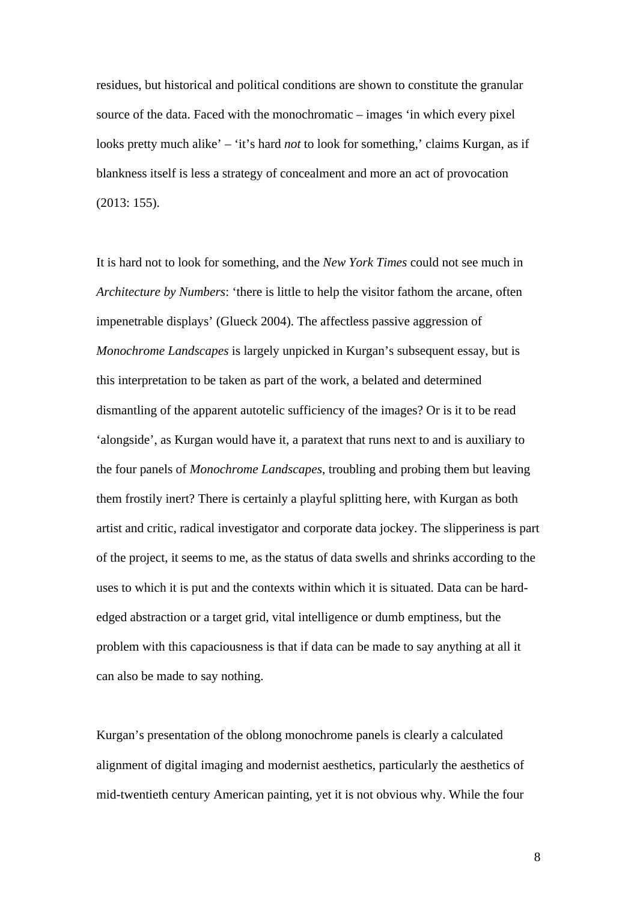residues, but historical and political conditions are shown to constitute the granular source of the data. Faced with the monochromatic – images 'in which every pixel looks pretty much alike' – 'it's hard *not* to look for something,' claims Kurgan, as if blankness itself is less a strategy of concealment and more an act of provocation (2013: 155).

It is hard not to look for something, and the *New York Times* could not see much in *Architecture by Numbers*: 'there is little to help the visitor fathom the arcane, often impenetrable displays' (Glueck 2004). The affectless passive aggression of *Monochrome Landscapes* is largely unpicked in Kurgan's subsequent essay, but is this interpretation to be taken as part of the work, a belated and determined dismantling of the apparent autotelic sufficiency of the images? Or is it to be read 'alongside', as Kurgan would have it, a paratext that runs next to and is auxiliary to the four panels of *Monochrome Landscapes*, troubling and probing them but leaving them frostily inert? There is certainly a playful splitting here, with Kurgan as both artist and critic, radical investigator and corporate data jockey. The slipperiness is part of the project, it seems to me, as the status of data swells and shrinks according to the uses to which it is put and the contexts within which it is situated. Data can be hardedged abstraction or a target grid, vital intelligence or dumb emptiness, but the problem with this capaciousness is that if data can be made to say anything at all it can also be made to say nothing.

Kurgan's presentation of the oblong monochrome panels is clearly a calculated alignment of digital imaging and modernist aesthetics, particularly the aesthetics of mid-twentieth century American painting, yet it is not obvious why. While the four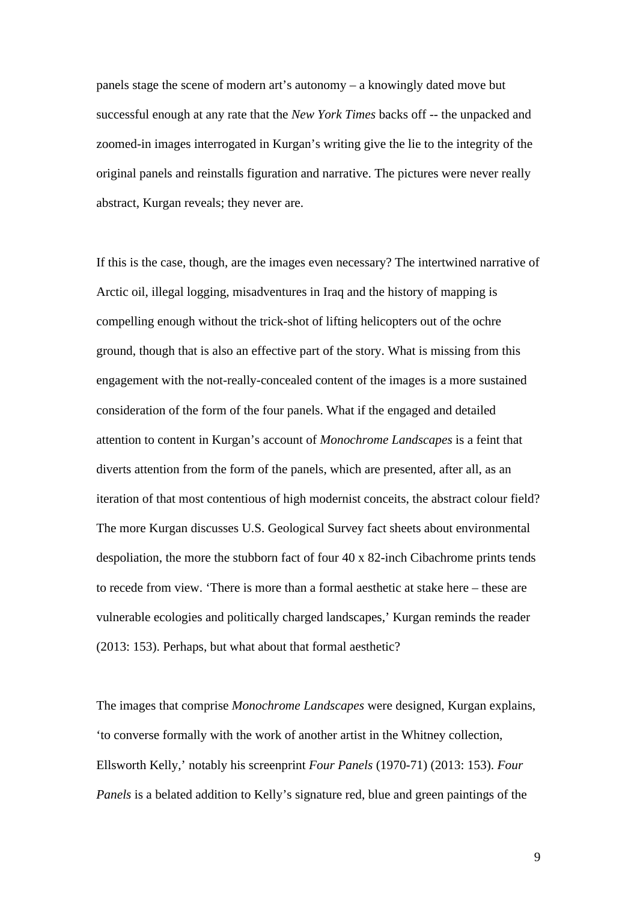panels stage the scene of modern art's autonomy – a knowingly dated move but successful enough at any rate that the *New York Times* backs off -- the unpacked and zoomed-in images interrogated in Kurgan's writing give the lie to the integrity of the original panels and reinstalls figuration and narrative. The pictures were never really abstract, Kurgan reveals; they never are.

If this is the case, though, are the images even necessary? The intertwined narrative of Arctic oil, illegal logging, misadventures in Iraq and the history of mapping is compelling enough without the trick-shot of lifting helicopters out of the ochre ground, though that is also an effective part of the story. What is missing from this engagement with the not-really-concealed content of the images is a more sustained consideration of the form of the four panels. What if the engaged and detailed attention to content in Kurgan's account of *Monochrome Landscapes* is a feint that diverts attention from the form of the panels, which are presented, after all, as an iteration of that most contentious of high modernist conceits, the abstract colour field? The more Kurgan discusses U.S. Geological Survey fact sheets about environmental despoliation, the more the stubborn fact of four 40 x 82-inch Cibachrome prints tends to recede from view. 'There is more than a formal aesthetic at stake here – these are vulnerable ecologies and politically charged landscapes,' Kurgan reminds the reader (2013: 153). Perhaps, but what about that formal aesthetic?

The images that comprise *Monochrome Landscapes* were designed, Kurgan explains, 'to converse formally with the work of another artist in the Whitney collection, Ellsworth Kelly,' notably his screenprint *Four Panels* (1970-71) (2013: 153). *Four Panels* is a belated addition to Kelly's signature red, blue and green paintings of the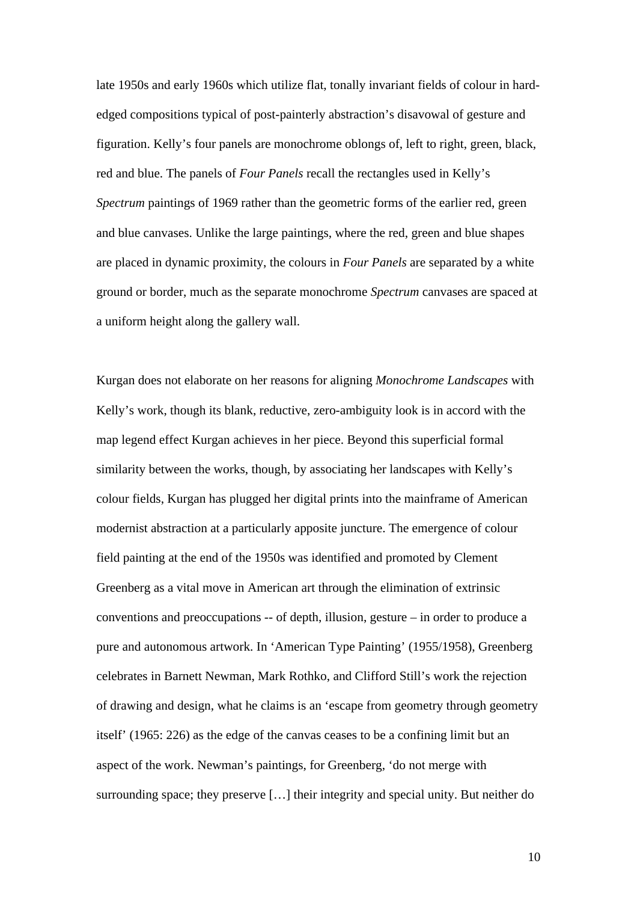late 1950s and early 1960s which utilize flat, tonally invariant fields of colour in hardedged compositions typical of post-painterly abstraction's disavowal of gesture and figuration. Kelly's four panels are monochrome oblongs of, left to right, green, black, red and blue. The panels of *Four Panels* recall the rectangles used in Kelly's *Spectrum* paintings of 1969 rather than the geometric forms of the earlier red, green and blue canvases. Unlike the large paintings, where the red, green and blue shapes are placed in dynamic proximity, the colours in *Four Panels* are separated by a white ground or border, much as the separate monochrome *Spectrum* canvases are spaced at a uniform height along the gallery wall.

Kurgan does not elaborate on her reasons for aligning *Monochrome Landscapes* with Kelly's work, though its blank, reductive, zero-ambiguity look is in accord with the map legend effect Kurgan achieves in her piece. Beyond this superficial formal similarity between the works, though, by associating her landscapes with Kelly's colour fields, Kurgan has plugged her digital prints into the mainframe of American modernist abstraction at a particularly apposite juncture. The emergence of colour field painting at the end of the 1950s was identified and promoted by Clement Greenberg as a vital move in American art through the elimination of extrinsic conventions and preoccupations -- of depth, illusion, gesture – in order to produce a pure and autonomous artwork. In 'American Type Painting' (1955/1958), Greenberg celebrates in Barnett Newman, Mark Rothko, and Clifford Still's work the rejection of drawing and design, what he claims is an 'escape from geometry through geometry itself' (1965: 226) as the edge of the canvas ceases to be a confining limit but an aspect of the work. Newman's paintings, for Greenberg, 'do not merge with surrounding space; they preserve […] their integrity and special unity. But neither do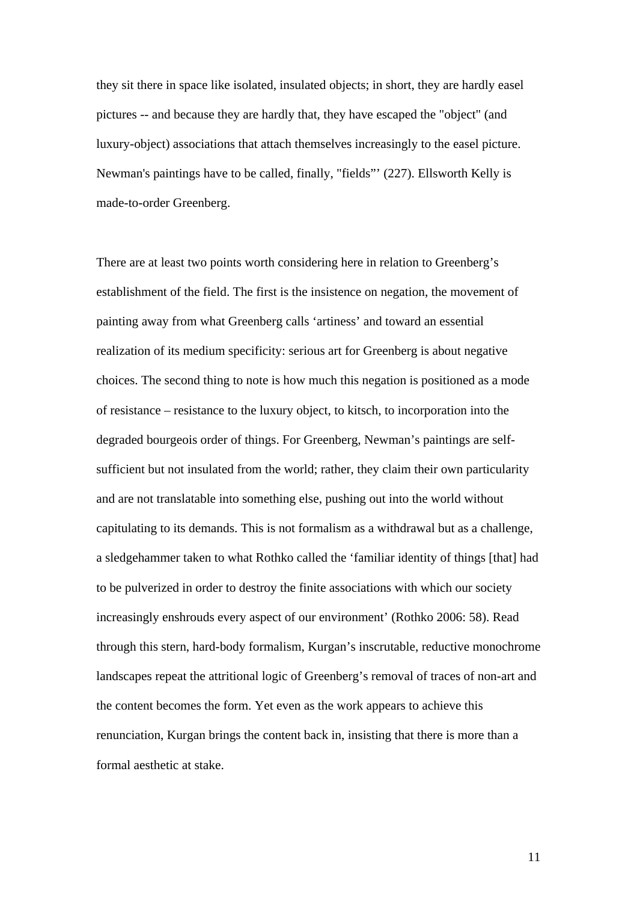they sit there in space like isolated, insulated objects; in short, they are hardly easel pictures -- and because they are hardly that, they have escaped the "object" (and luxury-object) associations that attach themselves increasingly to the easel picture. Newman's paintings have to be called, finally, "fields"' (227). Ellsworth Kelly is made-to-order Greenberg.

There are at least two points worth considering here in relation to Greenberg's establishment of the field. The first is the insistence on negation, the movement of painting away from what Greenberg calls 'artiness' and toward an essential realization of its medium specificity: serious art for Greenberg is about negative choices. The second thing to note is how much this negation is positioned as a mode of resistance – resistance to the luxury object, to kitsch, to incorporation into the degraded bourgeois order of things. For Greenberg, Newman's paintings are selfsufficient but not insulated from the world; rather, they claim their own particularity and are not translatable into something else, pushing out into the world without capitulating to its demands. This is not formalism as a withdrawal but as a challenge, a sledgehammer taken to what Rothko called the 'familiar identity of things [that] had to be pulverized in order to destroy the finite associations with which our society increasingly enshrouds every aspect of our environment' (Rothko 2006: 58). Read through this stern, hard-body formalism, Kurgan's inscrutable, reductive monochrome landscapes repeat the attritional logic of Greenberg's removal of traces of non-art and the content becomes the form. Yet even as the work appears to achieve this renunciation, Kurgan brings the content back in, insisting that there is more than a formal aesthetic at stake.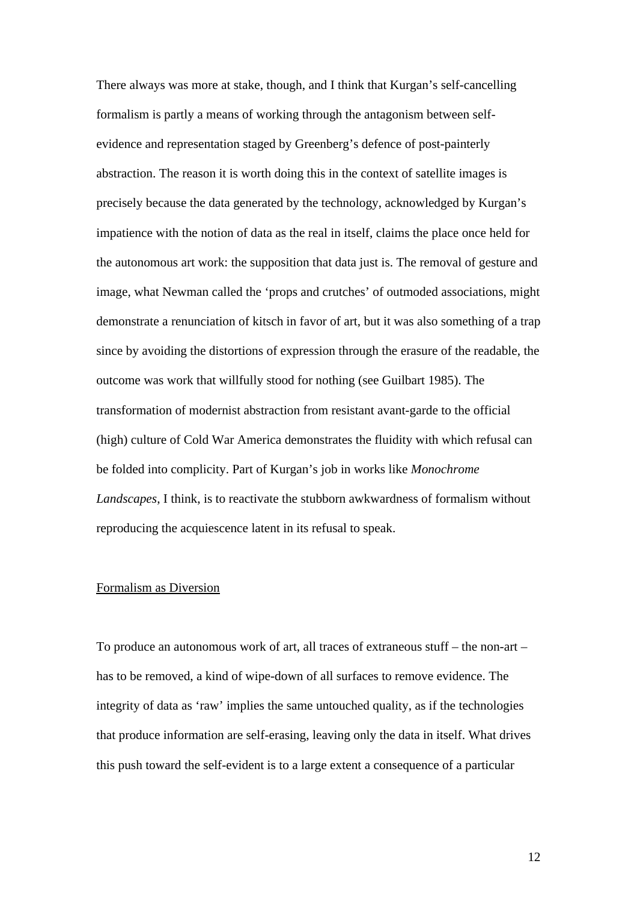There always was more at stake, though, and I think that Kurgan's self-cancelling formalism is partly a means of working through the antagonism between selfevidence and representation staged by Greenberg's defence of post-painterly abstraction. The reason it is worth doing this in the context of satellite images is precisely because the data generated by the technology, acknowledged by Kurgan's impatience with the notion of data as the real in itself, claims the place once held for the autonomous art work: the supposition that data just is. The removal of gesture and image, what Newman called the 'props and crutches' of outmoded associations, might demonstrate a renunciation of kitsch in favor of art, but it was also something of a trap since by avoiding the distortions of expression through the erasure of the readable, the outcome was work that willfully stood for nothing (see Guilbart 1985). The transformation of modernist abstraction from resistant avant-garde to the official (high) culture of Cold War America demonstrates the fluidity with which refusal can be folded into complicity. Part of Kurgan's job in works like *Monochrome Landscapes*, I think, is to reactivate the stubborn awkwardness of formalism without reproducing the acquiescence latent in its refusal to speak.

#### Formalism as Diversion

To produce an autonomous work of art, all traces of extraneous stuff – the non-art – has to be removed, a kind of wipe-down of all surfaces to remove evidence. The integrity of data as 'raw' implies the same untouched quality, as if the technologies that produce information are self-erasing, leaving only the data in itself. What drives this push toward the self-evident is to a large extent a consequence of a particular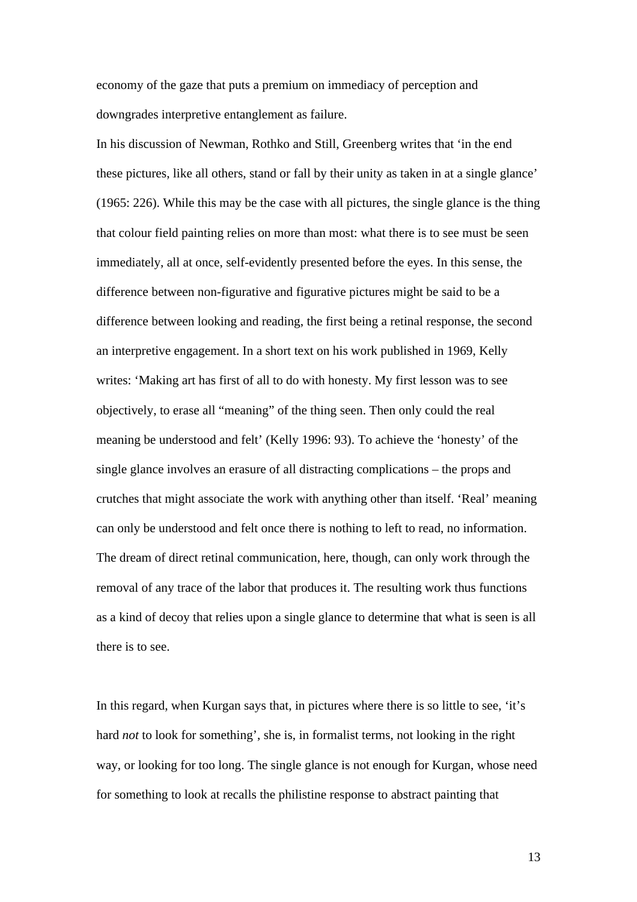economy of the gaze that puts a premium on immediacy of perception and downgrades interpretive entanglement as failure.

In his discussion of Newman, Rothko and Still, Greenberg writes that 'in the end these pictures, like all others, stand or fall by their unity as taken in at a single glance' (1965: 226). While this may be the case with all pictures, the single glance is the thing that colour field painting relies on more than most: what there is to see must be seen immediately, all at once, self-evidently presented before the eyes. In this sense, the difference between non-figurative and figurative pictures might be said to be a difference between looking and reading, the first being a retinal response, the second an interpretive engagement. In a short text on his work published in 1969, Kelly writes: 'Making art has first of all to do with honesty. My first lesson was to see objectively, to erase all "meaning" of the thing seen. Then only could the real meaning be understood and felt' (Kelly 1996: 93). To achieve the 'honesty' of the single glance involves an erasure of all distracting complications – the props and crutches that might associate the work with anything other than itself. 'Real' meaning can only be understood and felt once there is nothing to left to read, no information. The dream of direct retinal communication, here, though, can only work through the removal of any trace of the labor that produces it. The resulting work thus functions as a kind of decoy that relies upon a single glance to determine that what is seen is all there is to see.

In this regard, when Kurgan says that, in pictures where there is so little to see, 'it's hard *not* to look for something', she is, in formalist terms, not looking in the right way, or looking for too long. The single glance is not enough for Kurgan, whose need for something to look at recalls the philistine response to abstract painting that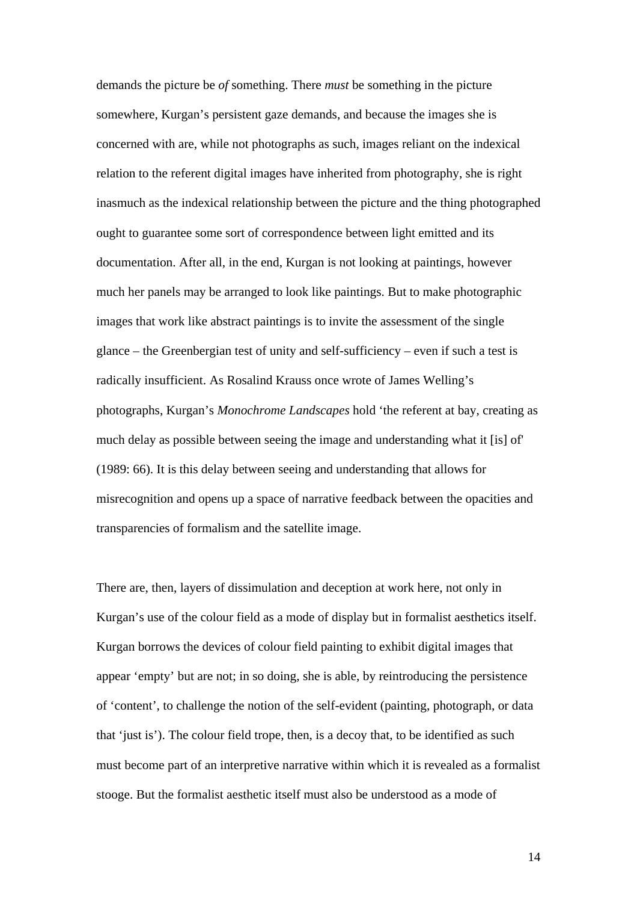demands the picture be *of* something. There *must* be something in the picture somewhere, Kurgan's persistent gaze demands, and because the images she is concerned with are, while not photographs as such, images reliant on the indexical relation to the referent digital images have inherited from photography, she is right inasmuch as the indexical relationship between the picture and the thing photographed ought to guarantee some sort of correspondence between light emitted and its documentation. After all, in the end, Kurgan is not looking at paintings, however much her panels may be arranged to look like paintings. But to make photographic images that work like abstract paintings is to invite the assessment of the single glance – the Greenbergian test of unity and self-sufficiency – even if such a test is radically insufficient. As Rosalind Krauss once wrote of James Welling's photographs, Kurgan's *Monochrome Landscapes* hold 'the referent at bay, creating as much delay as possible between seeing the image and understanding what it [is] of' (1989: 66). It is this delay between seeing and understanding that allows for misrecognition and opens up a space of narrative feedback between the opacities and transparencies of formalism and the satellite image.

There are, then, layers of dissimulation and deception at work here, not only in Kurgan's use of the colour field as a mode of display but in formalist aesthetics itself. Kurgan borrows the devices of colour field painting to exhibit digital images that appear 'empty' but are not; in so doing, she is able, by reintroducing the persistence of 'content', to challenge the notion of the self-evident (painting, photograph, or data that 'just is'). The colour field trope, then, is a decoy that, to be identified as such must become part of an interpretive narrative within which it is revealed as a formalist stooge. But the formalist aesthetic itself must also be understood as a mode of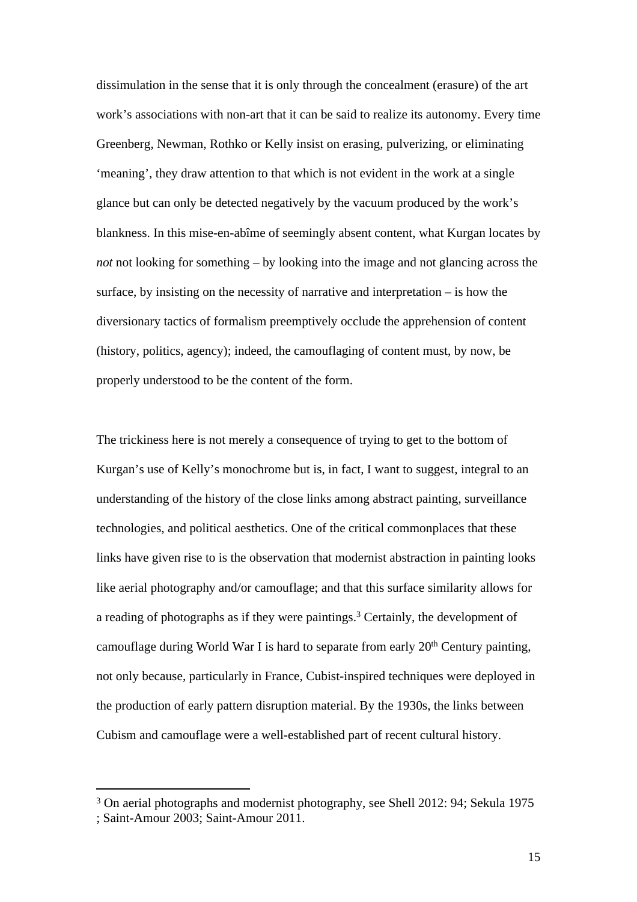dissimulation in the sense that it is only through the concealment (erasure) of the art work's associations with non-art that it can be said to realize its autonomy. Every time Greenberg, Newman, Rothko or Kelly insist on erasing, pulverizing, or eliminating 'meaning', they draw attention to that which is not evident in the work at a single glance but can only be detected negatively by the vacuum produced by the work's blankness. In this mise-en-abîme of seemingly absent content, what Kurgan locates by *not* not looking for something – by looking into the image and not glancing across the surface, by insisting on the necessity of narrative and interpretation – is how the diversionary tactics of formalism preemptively occlude the apprehension of content (history, politics, agency); indeed, the camouflaging of content must, by now, be properly understood to be the content of the form.

The trickiness here is not merely a consequence of trying to get to the bottom of Kurgan's use of Kelly's monochrome but is, in fact, I want to suggest, integral to an understanding of the history of the close links among abstract painting, surveillance technologies, and political aesthetics. One of the critical commonplaces that these links have given rise to is the observation that modernist abstraction in painting looks like aerial photography and/or camouflage; and that this surface similarity allows for a reading of photographs as if they were paintings.<sup>3</sup> Certainly, the development of camouflage during World War I is hard to separate from early 20<sup>th</sup> Century painting, not only because, particularly in France, Cubist-inspired techniques were deployed in the production of early pattern disruption material. By the 1930s, the links between Cubism and camouflage were a well-established part of recent cultural history.

<sup>3</sup> On aerial photographs and modernist photography, see Shell 2012: 94; Sekula 1975 ; Saint-Amour 2003; Saint-Amour 2011.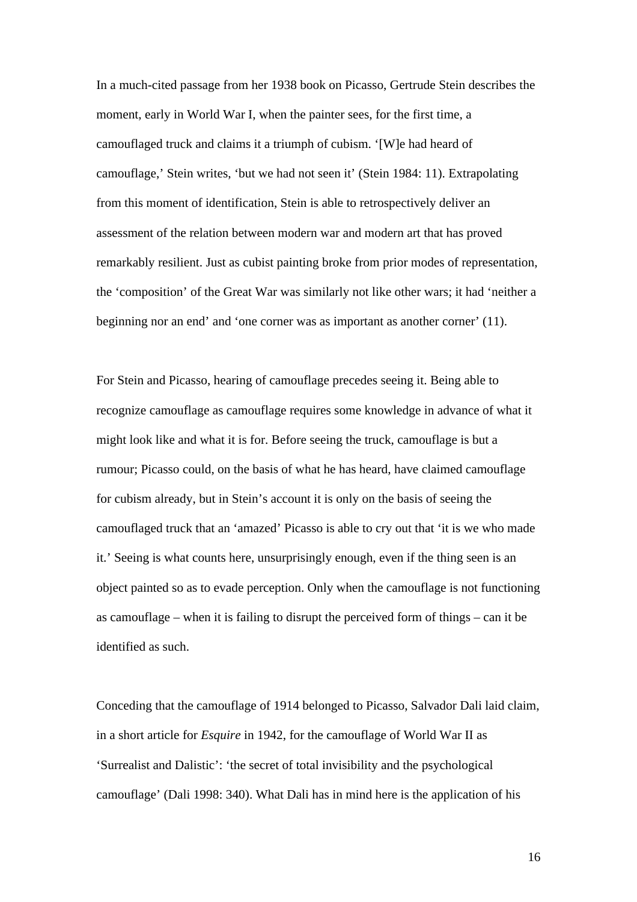In a much-cited passage from her 1938 book on Picasso, Gertrude Stein describes the moment, early in World War I, when the painter sees, for the first time, a camouflaged truck and claims it a triumph of cubism. '[W]e had heard of camouflage,' Stein writes, 'but we had not seen it' (Stein 1984: 11). Extrapolating from this moment of identification, Stein is able to retrospectively deliver an assessment of the relation between modern war and modern art that has proved remarkably resilient. Just as cubist painting broke from prior modes of representation, the 'composition' of the Great War was similarly not like other wars; it had 'neither a beginning nor an end' and 'one corner was as important as another corner' (11).

For Stein and Picasso, hearing of camouflage precedes seeing it. Being able to recognize camouflage as camouflage requires some knowledge in advance of what it might look like and what it is for. Before seeing the truck, camouflage is but a rumour; Picasso could, on the basis of what he has heard, have claimed camouflage for cubism already, but in Stein's account it is only on the basis of seeing the camouflaged truck that an 'amazed' Picasso is able to cry out that 'it is we who made it.' Seeing is what counts here, unsurprisingly enough, even if the thing seen is an object painted so as to evade perception. Only when the camouflage is not functioning as camouflage – when it is failing to disrupt the perceived form of things – can it be identified as such.

Conceding that the camouflage of 1914 belonged to Picasso, Salvador Dali laid claim, in a short article for *Esquire* in 1942, for the camouflage of World War II as 'Surrealist and Dalistic': 'the secret of total invisibility and the psychological camouflage' (Dali 1998: 340). What Dali has in mind here is the application of his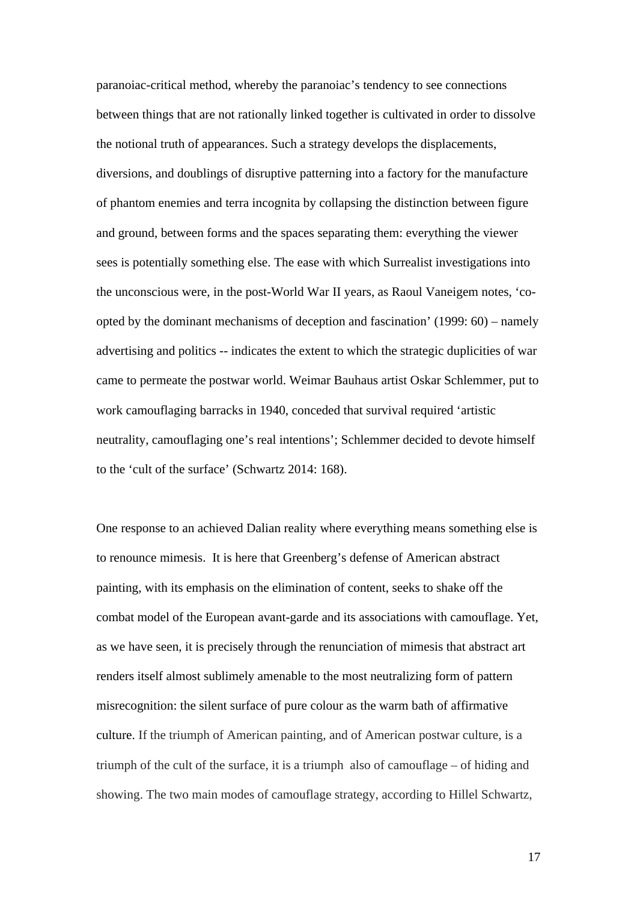paranoiac-critical method, whereby the paranoiac's tendency to see connections between things that are not rationally linked together is cultivated in order to dissolve the notional truth of appearances. Such a strategy develops the displacements, diversions, and doublings of disruptive patterning into a factory for the manufacture of phantom enemies and terra incognita by collapsing the distinction between figure and ground, between forms and the spaces separating them: everything the viewer sees is potentially something else. The ease with which Surrealist investigations into the unconscious were, in the post-World War II years, as Raoul Vaneigem notes, 'coopted by the dominant mechanisms of deception and fascination' (1999: 60) – namely advertising and politics -- indicates the extent to which the strategic duplicities of war came to permeate the postwar world. Weimar Bauhaus artist Oskar Schlemmer, put to work camouflaging barracks in 1940, conceded that survival required 'artistic neutrality, camouflaging one's real intentions'; Schlemmer decided to devote himself to the 'cult of the surface' (Schwartz 2014: 168).

One response to an achieved Dalian reality where everything means something else is to renounce mimesis. It is here that Greenberg's defense of American abstract painting, with its emphasis on the elimination of content, seeks to shake off the combat model of the European avant-garde and its associations with camouflage. Yet, as we have seen, it is precisely through the renunciation of mimesis that abstract art renders itself almost sublimely amenable to the most neutralizing form of pattern misrecognition: the silent surface of pure colour as the warm bath of affirmative culture. If the triumph of American painting, and of American postwar culture, is a triumph of the cult of the surface, it is a triumph also of camouflage – of hiding and showing. The two main modes of camouflage strategy, according to Hillel Schwartz,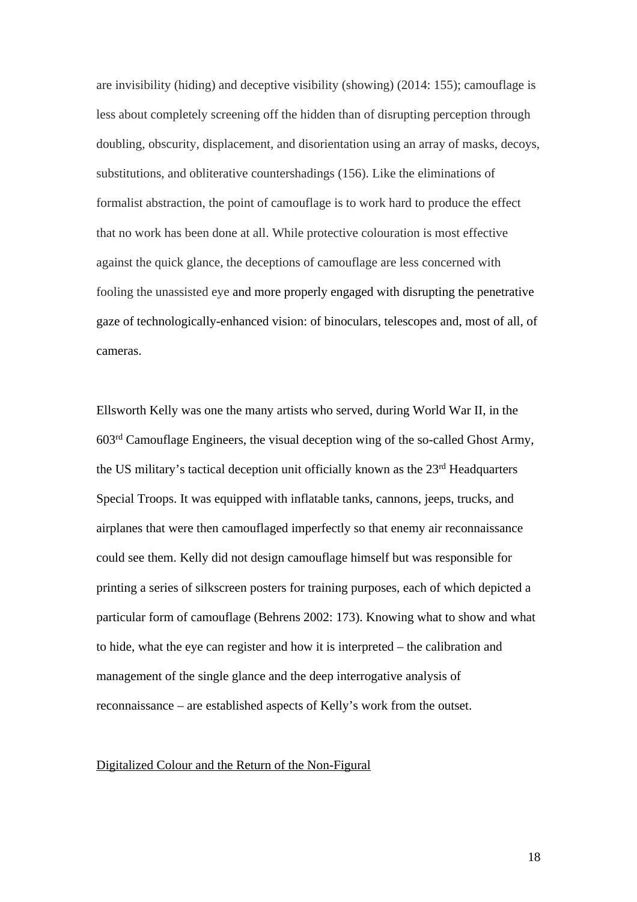are invisibility (hiding) and deceptive visibility (showing) (2014: 155); camouflage is less about completely screening off the hidden than of disrupting perception through doubling, obscurity, displacement, and disorientation using an array of masks, decoys, substitutions, and obliterative countershadings (156). Like the eliminations of formalist abstraction, the point of camouflage is to work hard to produce the effect that no work has been done at all. While protective colouration is most effective against the quick glance, the deceptions of camouflage are less concerned with fooling the unassisted eye and more properly engaged with disrupting the penetrative gaze of technologically-enhanced vision: of binoculars, telescopes and, most of all, of cameras.

Ellsworth Kelly was one the many artists who served, during World War II, in the 603rd Camouflage Engineers, the visual deception wing of the so-called Ghost Army, the US military's tactical deception unit officially known as the 23rd Headquarters Special Troops. It was equipped with inflatable tanks, cannons, jeeps, trucks, and airplanes that were then camouflaged imperfectly so that enemy air reconnaissance could see them. Kelly did not design camouflage himself but was responsible for printing a series of silkscreen posters for training purposes, each of which depicted a particular form of camouflage (Behrens 2002: 173). Knowing what to show and what to hide, what the eye can register and how it is interpreted – the calibration and management of the single glance and the deep interrogative analysis of reconnaissance – are established aspects of Kelly's work from the outset.

### Digitalized Colour and the Return of the Non-Figural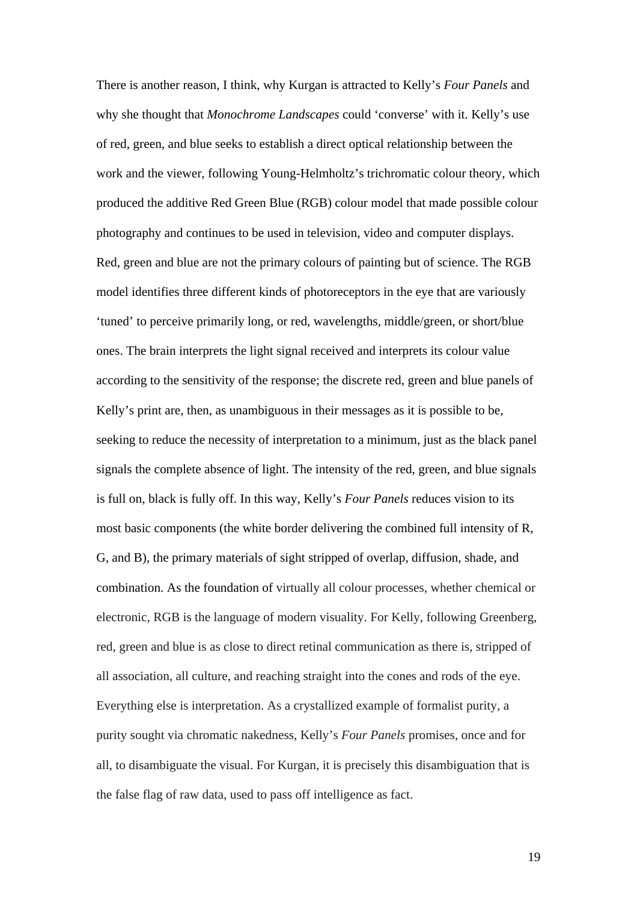There is another reason, I think, why Kurgan is attracted to Kelly's *Four Panels* and why she thought that *Monochrome Landscapes* could 'converse' with it. Kelly's use of red, green, and blue seeks to establish a direct optical relationship between the work and the viewer, following Young-Helmholtz's trichromatic colour theory, which produced the additive Red Green Blue (RGB) colour model that made possible colour photography and continues to be used in television, video and computer displays. Red, green and blue are not the primary colours of painting but of science. The RGB model identifies three different kinds of photoreceptors in the eye that are variously 'tuned' to perceive primarily long, or red, wavelengths, middle/green, or short/blue ones. The brain interprets the light signal received and interprets its colour value according to the sensitivity of the response; the discrete red, green and blue panels of Kelly's print are, then, as unambiguous in their messages as it is possible to be, seeking to reduce the necessity of interpretation to a minimum, just as the black panel signals the complete absence of light. The intensity of the red, green, and blue signals is full on, black is fully off. In this way, Kelly's *Four Panels* reduces vision to its most basic components (the white border delivering the combined full intensity of R, G, and B), the primary materials of sight stripped of overlap, diffusion, shade, and combination. As the foundation of virtually all colour processes, whether chemical or electronic, RGB is the language of modern visuality. For Kelly, following Greenberg, red, green and blue is as close to direct retinal communication as there is, stripped of all association, all culture, and reaching straight into the cones and rods of the eye. Everything else is interpretation. As a crystallized example of formalist purity, a purity sought via chromatic nakedness, Kelly's *Four Panels* promises, once and for all, to disambiguate the visual. For Kurgan, it is precisely this disambiguation that is the false flag of raw data, used to pass off intelligence as fact.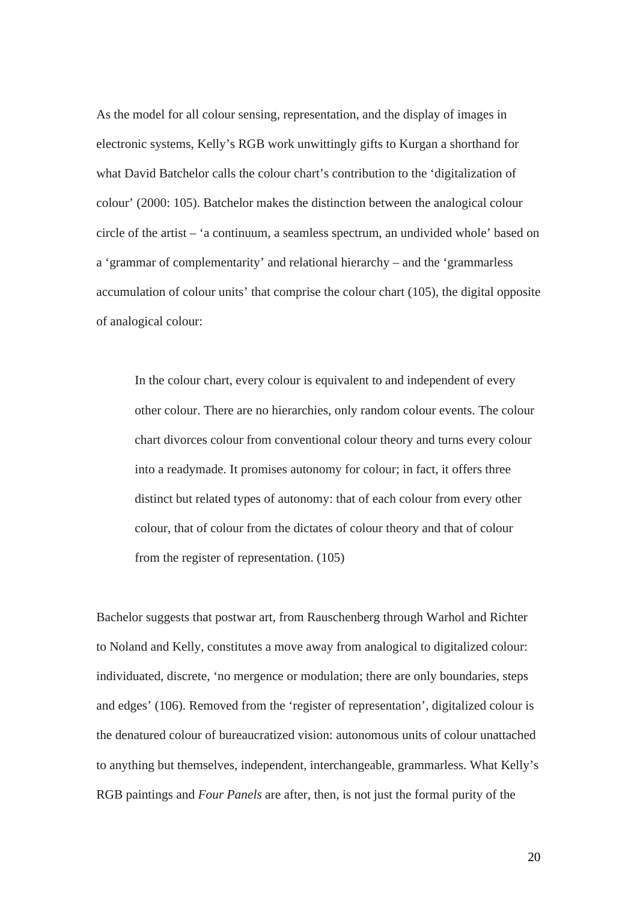As the model for all colour sensing, representation, and the display of images in electronic systems, Kelly's RGB work unwittingly gifts to Kurgan a shorthand for what David Batchelor calls the colour chart's contribution to the 'digitalization of colour' (2000: 105). Batchelor makes the distinction between the analogical colour circle of the artist – 'a continuum, a seamless spectrum, an undivided whole' based on a 'grammar of complementarity' and relational hierarchy – and the 'grammarless accumulation of colour units' that comprise the colour chart (105), the digital opposite of analogical colour:

In the colour chart, every colour is equivalent to and independent of every other colour. There are no hierarchies, only random colour events. The colour chart divorces colour from conventional colour theory and turns every colour into a readymade. It promises autonomy for colour; in fact, it offers three distinct but related types of autonomy: that of each colour from every other colour, that of colour from the dictates of colour theory and that of colour from the register of representation. (105)

Bachelor suggests that postwar art, from Rauschenberg through Warhol and Richter to Noland and Kelly, constitutes a move away from analogical to digitalized colour: individuated, discrete, 'no mergence or modulation; there are only boundaries, steps and edges' (106). Removed from the 'register of representation', digitalized colour is the denatured colour of bureaucratized vision: autonomous units of colour unattached to anything but themselves, independent, interchangeable, grammarless. What Kelly's RGB paintings and *Four Panels* are after, then, is not just the formal purity of the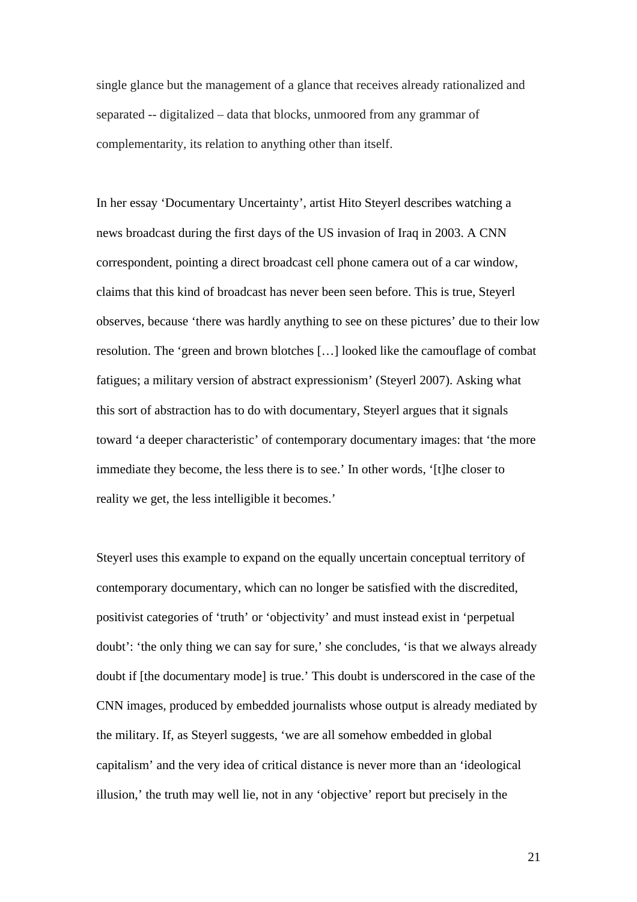single glance but the management of a glance that receives already rationalized and separated -- digitalized – data that blocks, unmoored from any grammar of complementarity, its relation to anything other than itself.

In her essay 'Documentary Uncertainty', artist Hito Steyerl describes watching a news broadcast during the first days of the US invasion of Iraq in 2003. A CNN correspondent, pointing a direct broadcast cell phone camera out of a car window, claims that this kind of broadcast has never been seen before. This is true, Steyerl observes, because 'there was hardly anything to see on these pictures' due to their low resolution. The 'green and brown blotches […] looked like the camouflage of combat fatigues; a military version of abstract expressionism' (Steyerl 2007). Asking what this sort of abstraction has to do with documentary, Steyerl argues that it signals toward 'a deeper characteristic' of contemporary documentary images: that 'the more immediate they become, the less there is to see.' In other words, '[t]he closer to reality we get, the less intelligible it becomes.'

Steyerl uses this example to expand on the equally uncertain conceptual territory of contemporary documentary, which can no longer be satisfied with the discredited, positivist categories of 'truth' or 'objectivity' and must instead exist in 'perpetual doubt': 'the only thing we can say for sure,' she concludes, 'is that we always already doubt if [the documentary mode] is true.' This doubt is underscored in the case of the CNN images, produced by embedded journalists whose output is already mediated by the military. If, as Steyerl suggests, 'we are all somehow embedded in global capitalism' and the very idea of critical distance is never more than an 'ideological illusion,' the truth may well lie, not in any 'objective' report but precisely in the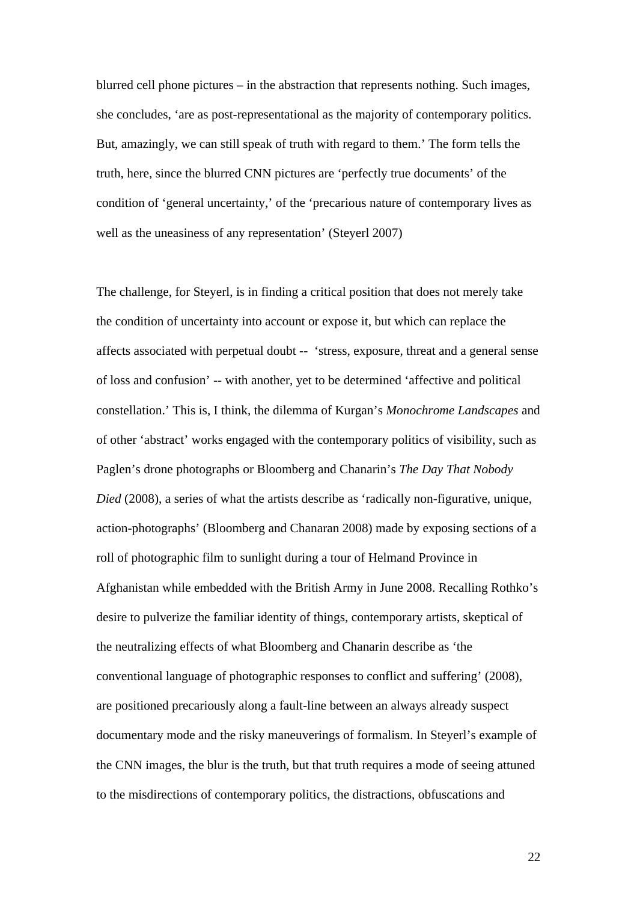blurred cell phone pictures – in the abstraction that represents nothing. Such images, she concludes, 'are as post-representational as the majority of contemporary politics. But, amazingly, we can still speak of truth with regard to them.' The form tells the truth, here, since the blurred CNN pictures are 'perfectly true documents' of the condition of 'general uncertainty,' of the 'precarious nature of contemporary lives as well as the uneasiness of any representation' (Steyerl 2007)

The challenge, for Steyerl, is in finding a critical position that does not merely take the condition of uncertainty into account or expose it, but which can replace the affects associated with perpetual doubt -- 'stress, exposure, threat and a general sense of loss and confusion' -- with another, yet to be determined 'affective and political constellation.' This is, I think, the dilemma of Kurgan's *Monochrome Landscapes* and of other 'abstract' works engaged with the contemporary politics of visibility, such as Paglen's drone photographs or Bloomberg and Chanarin's *The Day That Nobody Died* (2008), a series of what the artists describe as 'radically non-figurative, unique, action-photographs' (Bloomberg and Chanaran 2008) made by exposing sections of a roll of photographic film to sunlight during a tour of Helmand Province in Afghanistan while embedded with the British Army in June 2008. Recalling Rothko's desire to pulverize the familiar identity of things, contemporary artists, skeptical of the neutralizing effects of what Bloomberg and Chanarin describe as 'the conventional language of photographic responses to conflict and suffering' (2008), are positioned precariously along a fault-line between an always already suspect documentary mode and the risky maneuverings of formalism. In Steyerl's example of the CNN images, the blur is the truth, but that truth requires a mode of seeing attuned to the misdirections of contemporary politics, the distractions, obfuscations and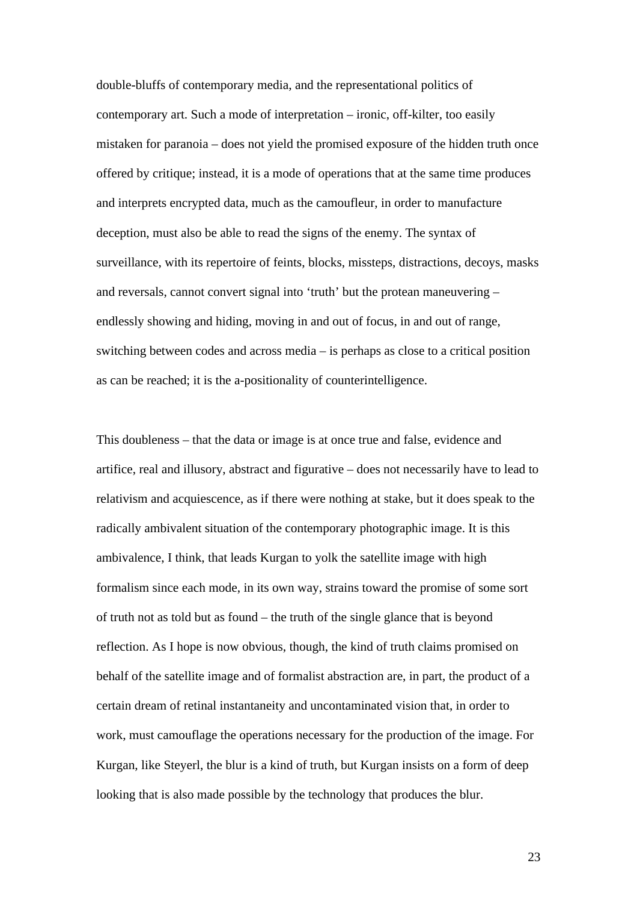double-bluffs of contemporary media, and the representational politics of contemporary art. Such a mode of interpretation – ironic, off-kilter, too easily mistaken for paranoia – does not yield the promised exposure of the hidden truth once offered by critique; instead, it is a mode of operations that at the same time produces and interprets encrypted data, much as the camoufleur, in order to manufacture deception, must also be able to read the signs of the enemy. The syntax of surveillance, with its repertoire of feints, blocks, missteps, distractions, decoys, masks and reversals, cannot convert signal into 'truth' but the protean maneuvering – endlessly showing and hiding, moving in and out of focus, in and out of range, switching between codes and across media – is perhaps as close to a critical position as can be reached; it is the a-positionality of counterintelligence.

This doubleness – that the data or image is at once true and false, evidence and artifice, real and illusory, abstract and figurative – does not necessarily have to lead to relativism and acquiescence, as if there were nothing at stake, but it does speak to the radically ambivalent situation of the contemporary photographic image. It is this ambivalence, I think, that leads Kurgan to yolk the satellite image with high formalism since each mode, in its own way, strains toward the promise of some sort of truth not as told but as found – the truth of the single glance that is beyond reflection. As I hope is now obvious, though, the kind of truth claims promised on behalf of the satellite image and of formalist abstraction are, in part, the product of a certain dream of retinal instantaneity and uncontaminated vision that, in order to work, must camouflage the operations necessary for the production of the image. For Kurgan, like Steyerl, the blur is a kind of truth, but Kurgan insists on a form of deep looking that is also made possible by the technology that produces the blur.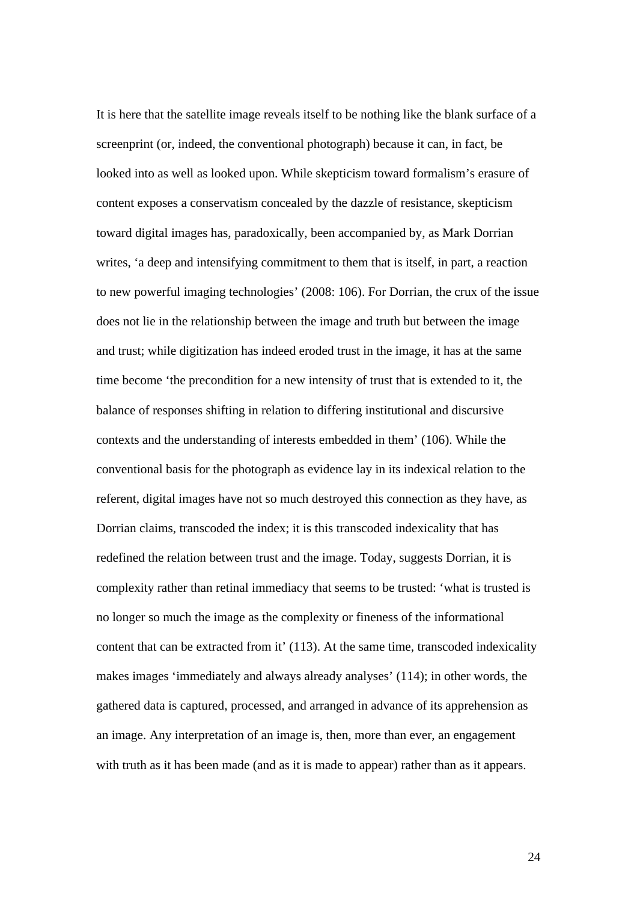It is here that the satellite image reveals itself to be nothing like the blank surface of a screenprint (or, indeed, the conventional photograph) because it can, in fact, be looked into as well as looked upon. While skepticism toward formalism's erasure of content exposes a conservatism concealed by the dazzle of resistance, skepticism toward digital images has, paradoxically, been accompanied by, as Mark Dorrian writes, 'a deep and intensifying commitment to them that is itself, in part, a reaction to new powerful imaging technologies' (2008: 106). For Dorrian, the crux of the issue does not lie in the relationship between the image and truth but between the image and trust; while digitization has indeed eroded trust in the image, it has at the same time become 'the precondition for a new intensity of trust that is extended to it, the balance of responses shifting in relation to differing institutional and discursive contexts and the understanding of interests embedded in them' (106). While the conventional basis for the photograph as evidence lay in its indexical relation to the referent, digital images have not so much destroyed this connection as they have, as Dorrian claims, transcoded the index; it is this transcoded indexicality that has redefined the relation between trust and the image. Today, suggests Dorrian, it is complexity rather than retinal immediacy that seems to be trusted: 'what is trusted is no longer so much the image as the complexity or fineness of the informational content that can be extracted from it' (113). At the same time, transcoded indexicality makes images 'immediately and always already analyses' (114); in other words, the gathered data is captured, processed, and arranged in advance of its apprehension as an image. Any interpretation of an image is, then, more than ever, an engagement with truth as it has been made (and as it is made to appear) rather than as it appears.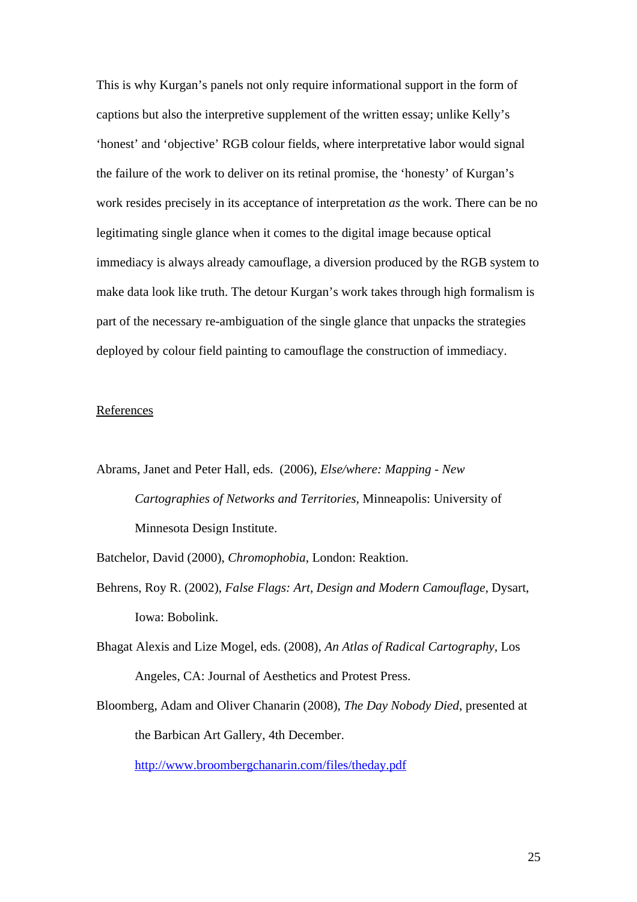This is why Kurgan's panels not only require informational support in the form of captions but also the interpretive supplement of the written essay; unlike Kelly's 'honest' and 'objective' RGB colour fields, where interpretative labor would signal the failure of the work to deliver on its retinal promise, the 'honesty' of Kurgan's work resides precisely in its acceptance of interpretation *as* the work. There can be no legitimating single glance when it comes to the digital image because optical immediacy is always already camouflage, a diversion produced by the RGB system to make data look like truth. The detour Kurgan's work takes through high formalism is part of the necessary re-ambiguation of the single glance that unpacks the strategies deployed by colour field painting to camouflage the construction of immediacy.

## **References**

- Abrams, Janet and Peter Hall, eds. (2006), *Else/where: Mapping - New Cartographies of Networks and Territories*, Minneapolis: University of Minnesota Design Institute.
- Batchelor, David (2000), *Chromophobia*, London: Reaktion.
- Behrens, Roy R. (2002), *False Flags: Art, Design and Modern Camouflage*, Dysart, Iowa: Bobolink.
- Bhagat Alexis and Lize Mogel, eds. (2008), *An Atlas of Radical Cartography*, Los Angeles, CA: Journal of Aesthetics and Protest Press.
- Bloomberg, Adam and Oliver Chanarin (2008), *The Day Nobody Died*, presented at the Barbican Art Gallery, 4th December.

<http://www.broombergchanarin.com/files/theday.pdf>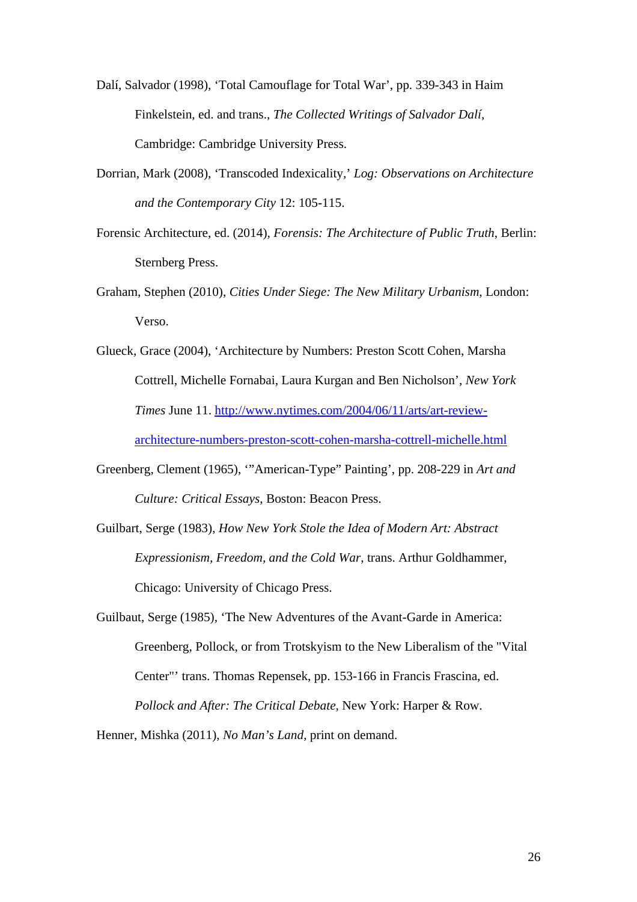- Dalí, Salvador (1998), 'Total Camouflage for Total War', pp. 339-343 in Haim Finkelstein, ed. and trans., *The Collected Writings of Salvador Dalí,* Cambridge: Cambridge University Press.
- Dorrian, Mark (2008), 'Transcoded Indexicality,' *Log: Observations on Architecture and the Contemporary City* 12: 105-115.
- Forensic Architecture, ed. (2014), *Forensis: The Architecture of Public Truth*, Berlin: Sternberg Press.
- Graham, Stephen (2010), *Cities Under Siege: The New Military Urbanism*, London: Verso.
- Glueck, Grace (2004), 'Architecture by Numbers: Preston Scott Cohen, Marsha Cottrell, Michelle Fornabai, Laura Kurgan and Ben Nicholson', *New York Times* June 11. [http://www.nytimes.com/2004/06/11/arts/art-review](http://www.nytimes.com/2004/06/11/arts/art-review-architecture-numbers-preston-scott-cohen-marsha-cottrell-michelle.html)[architecture-numbers-preston-scott-cohen-marsha-cottrell-michelle.html](http://www.nytimes.com/2004/06/11/arts/art-review-architecture-numbers-preston-scott-cohen-marsha-cottrell-michelle.html)
- Greenberg, Clement (1965), '"American-Type" Painting', pp. 208-229 in *Art and Culture: Critical Essays*, Boston: Beacon Press.
- Guilbart, Serge (1983), *How New York Stole the Idea of Modern Art: Abstract Expressionism, Freedom, and the Cold War*, trans. Arthur Goldhammer, Chicago: University of Chicago Press.
- Guilbaut, Serge (1985), 'The New Adventures of the Avant-Garde in America: Greenberg, Pollock, or from Trotskyism to the New Liberalism of the "Vital Center"' trans. Thomas Repensek, pp. 153-166 in Francis Frascina, ed. *Pollock and After: The Critical Debate*, New York: Harper & Row.

Henner, Mishka (2011), *No Man's Land*, print on demand.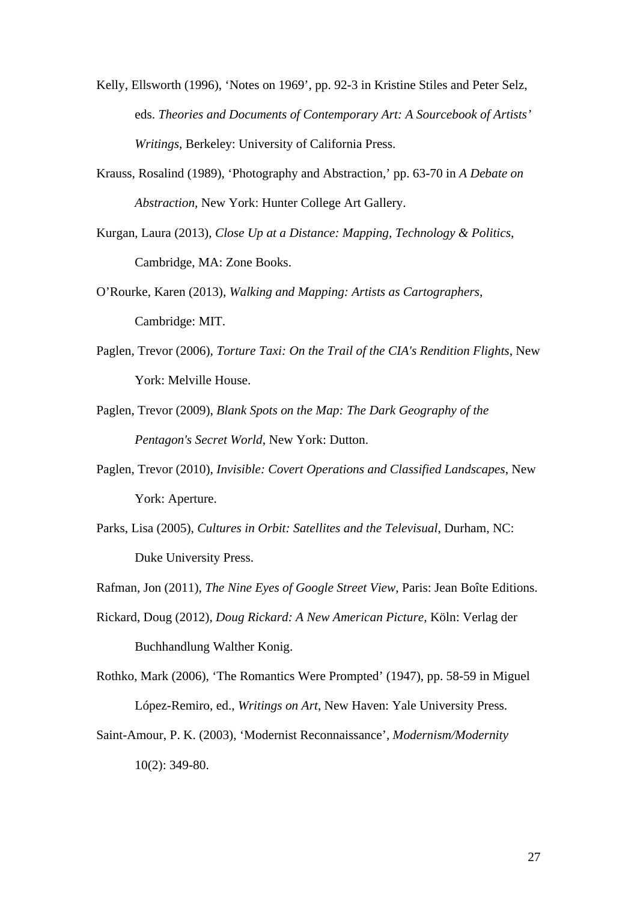- Kelly, Ellsworth (1996), 'Notes on 1969', pp. 92-3 in Kristine Stiles and Peter Selz, eds. *Theories and Documents of Contemporary Art: A Sourcebook of Artists' Writings*, Berkeley: University of California Press.
- Krauss, Rosalind (1989), 'Photography and Abstraction,' pp. 63-70 in *A Debate on Abstraction,* New York: Hunter College Art Gallery.
- Kurgan, Laura (2013), *Close Up at a Distance: Mapping, Technology & Politics*, Cambridge, MA: Zone Books.
- O'Rourke, Karen (2013), *Walking and Mapping: Artists as Cartographers*, Cambridge: MIT.
- Paglen, Trevor (2006)*, Torture Taxi: On the Trail of the CIA's Rendition Flights*, New York: Melville House.
- Paglen, Trevor (2009), *Blank Spots on the Map: The Dark Geography of the Pentagon's Secret World*, New York: Dutton.
- Paglen, Trevor (2010), *Invisible: Covert Operations and Classified Landscapes*, New York: Aperture.
- Parks, Lisa (2005), *Cultures in Orbit: Satellites and the Televisual*, Durham, NC: Duke University Press.

Rafman, Jon (2011), *The Nine Eyes of Google Street View*, Paris: Jean Boîte Editions.

- Rickard, Doug (2012), *Doug Rickard: A New American Picture,* Köln: Verlag der Buchhandlung Walther Konig.
- Rothko, Mark (2006), 'The Romantics Were Prompted' (1947), pp. 58-59 in Miguel López-Remiro, ed., *Writings on Art*, New Haven: Yale University Press.
- Saint-Amour, P. K. (2003), 'Modernist Reconnaissance', *Modernism/Modernity* 10(2): 349-80.